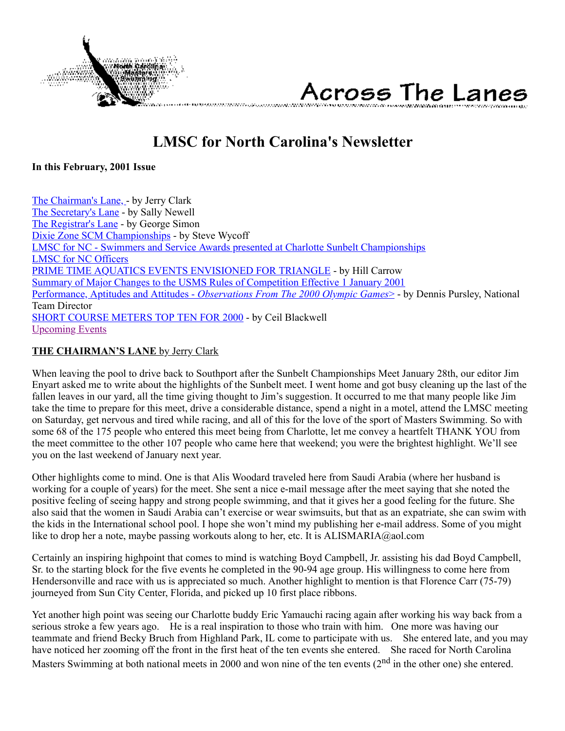

Across The Lanes

# **LMSC for North Carolina's Newsletter**

<span id="page-0-1"></span>**In this February, 2001 Issue**

[The Chairman's Lane, -](#page-0-0) by Jerry Clark [The Secretary's Lane](#page-1-0) - by Sally Newell [The Registrar's Lane](#page-2-0) - by George Simon [Dixie Zone SCM Championships](#page-2-1) - by Steve Wycoff [LMSC for NC - Swimmers and Service Awards presented at Charlotte Sunbelt Championships](#page-3-0) [LMSC for NC Officers](#page-4-0) [PRIME TIME AQUATICS EVENTS ENVISIONED FOR TRIANGLE](#page-4-1) - by Hill Carrow [Summary of Major Changes to the USMS Rules of Competition Effective 1 January 2001](#page-5-0) Performance, Aptitudes and Attitudes - *[Observations From The 2000 Olympic Games](#page-6-0)*> - by Dennis Pursley, National Team Director [SHORT COURSE METERS TOP TEN FOR 2000](#page-7-0) - by Ceil Blackwell [Upcoming Events](#page-10-0)

# <span id="page-0-0"></span>**THE CHAIRMAN'S LANE** by Jerry Clark

When leaving the pool to drive back to Southport after the Sunbelt Championships Meet January 28th, our editor Jim Enyart asked me to write about the highlights of the Sunbelt meet. I went home and got busy cleaning up the last of the fallen leaves in our yard, all the time giving thought to Jim's suggestion. It occurred to me that many people like Jim take the time to prepare for this meet, drive a considerable distance, spend a night in a motel, attend the LMSC meeting on Saturday, get nervous and tired while racing, and all of this for the love of the sport of Masters Swimming. So with some 68 of the 175 people who entered this meet being from Charlotte, let me convey a heartfelt THANK YOU from the meet committee to the other 107 people who came here that weekend; you were the brightest highlight. We'll see you on the last weekend of January next year.

Other highlights come to mind. One is that Alis Woodard traveled here from Saudi Arabia (where her husband is working for a couple of years) for the meet. She sent a nice e-mail message after the meet saying that she noted the positive feeling of seeing happy and strong people swimming, and that it gives her a good feeling for the future. She also said that the women in Saudi Arabia can't exercise or wear swimsuits, but that as an expatriate, she can swim with the kids in the International school pool. I hope she won't mind my publishing her e-mail address. Some of you might like to drop her a note, maybe passing workouts along to her, etc. It is ALISMARIA@aol.com

Certainly an inspiring highpoint that comes to mind is watching Boyd Campbell, Jr. assisting his dad Boyd Campbell, Sr. to the starting block for the five events he completed in the 90-94 age group. His willingness to come here from Hendersonville and race with us is appreciated so much. Another highlight to mention is that Florence Carr (75-79) journeyed from Sun City Center, Florida, and picked up 10 first place ribbons.

Yet another high point was seeing our Charlotte buddy Eric Yamauchi racing again after working his way back from a serious stroke a few years ago. He is a real inspiration to those who train with him. One more was having our teammate and friend Becky Bruch from Highland Park, IL come to participate with us. She entered late, and you may have noticed her zooming off the front in the first heat of the ten events she entered. She raced for North Carolina Masters Swimming at both national meets in 2000 and won nine of the ten events (2<sup>nd</sup> in the other one) she entered.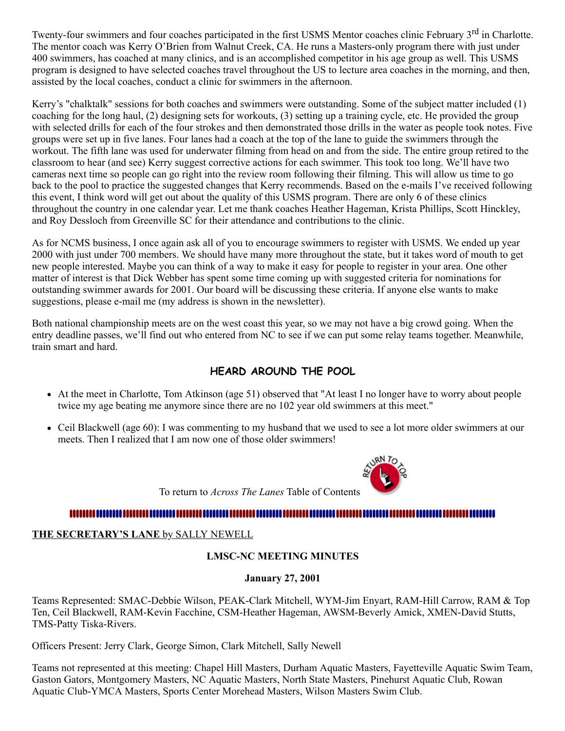Twenty-four swimmers and four coaches participated in the first USMS Mentor coaches clinic February 3<sup>rd</sup> in Charlotte. The mentor coach was Kerry O'Brien from Walnut Creek, CA. He runs a Masters-only program there with just under 400 swimmers, has coached at many clinics, and is an accomplished competitor in his age group as well. This USMS program is designed to have selected coaches travel throughout the US to lecture area coaches in the morning, and then, assisted by the local coaches, conduct a clinic for swimmers in the afternoon.

Kerry's "chalktalk" sessions for both coaches and swimmers were outstanding. Some of the subject matter included (1) coaching for the long haul, (2) designing sets for workouts, (3) setting up a training cycle, etc. He provided the group with selected drills for each of the four strokes and then demonstrated those drills in the water as people took notes. Five groups were set up in five lanes. Four lanes had a coach at the top of the lane to guide the swimmers through the workout. The fifth lane was used for underwater filming from head on and from the side. The entire group retired to the classroom to hear (and see) Kerry suggest corrective actions for each swimmer. This took too long. We'll have two cameras next time so people can go right into the review room following their filming. This will allow us time to go back to the pool to practice the suggested changes that Kerry recommends. Based on the e-mails I've received following this event, I think word will get out about the quality of this USMS program. There are only 6 of these clinics throughout the country in one calendar year. Let me thank coaches Heather Hageman, Krista Phillips, Scott Hinckley, and Roy Dessloch from Greenville SC for their attendance and contributions to the clinic.

As for NCMS business, I once again ask all of you to encourage swimmers to register with USMS. We ended up year 2000 with just under 700 members. We should have many more throughout the state, but it takes word of mouth to get new people interested. Maybe you can think of a way to make it easy for people to register in your area. One other matter of interest is that Dick Webber has spent some time coming up with suggested criteria for nominations for outstanding swimmer awards for 2001. Our board will be discussing these criteria. If anyone else wants to make suggestions, please e-mail me (my address is shown in the newsletter).

Both national championship meets are on the west coast this year, so we may not have a big crowd going. When the entry deadline passes, we'll find out who entered from NC to see if we can put some relay teams together. Meanwhile, train smart and hard.

# **HEARD AROUND THE POOL**

- At the meet in Charlotte, Tom Atkinson (age 51) observed that "At least I no longer have to worry about people twice my age beating me anymore since there are no 102 year old swimmers at this meet."
- Ceil Blackwell (age 60): I was commenting to my husband that we used to see a lot more older swimmers at our meets. Then I realized that I am now one of those older swimmers!

To return to *Across The Lanes* Table of Contents

# 

### <span id="page-1-0"></span>**THE SECRETARY'S LANE** by SALLY NEWELL

# **LMSC-NC MEETING MINUTES**

### **January 27, 2001**

Teams Represented: SMAC-Debbie Wilson, PEAK-Clark Mitchell, WYM-Jim Enyart, RAM-Hill Carrow, RAM & Top Ten, Ceil Blackwell, RAM-Kevin Facchine, CSM-Heather Hageman, AWSM-Beverly Amick, XMEN-David Stutts, TMS-Patty Tiska-Rivers.

Officers Present: Jerry Clark, George Simon, Clark Mitchell, Sally Newell

Teams not represented at this meeting: Chapel Hill Masters, Durham Aquatic Masters, Fayetteville Aquatic Swim Team, Gaston Gators, Montgomery Masters, NC Aquatic Masters, North State Masters, Pinehurst Aquatic Club, Rowan Aquatic Club-YMCA Masters, Sports Center Morehead Masters, Wilson Masters Swim Club.

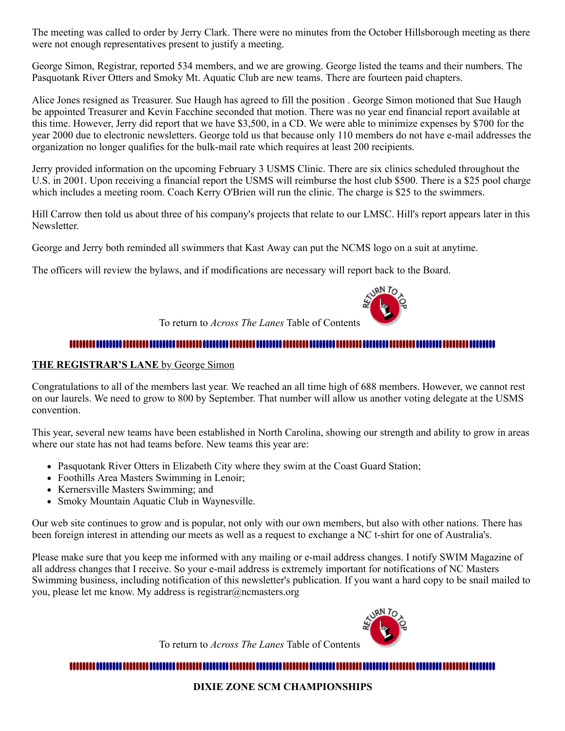The meeting was called to order by Jerry Clark. There were no minutes from the October Hillsborough meeting as there were not enough representatives present to justify a meeting.

George Simon, Registrar, reported 534 members, and we are growing. George listed the teams and their numbers. The Pasquotank River Otters and Smoky Mt. Aquatic Club are new teams. There are fourteen paid chapters.

Alice Jones resigned as Treasurer. Sue Haugh has agreed to fill the position . George Simon motioned that Sue Haugh be appointed Treasurer and Kevin Facchine seconded that motion. There was no year end financial report available at this time. However, Jerry did report that we have \$3,500, in a CD. We were able to minimize expenses by \$700 for the year 2000 due to electronic newsletters. George told us that because only 110 members do not have e-mail addresses the organization no longer qualifies for the bulk-mail rate which requires at least 200 recipients.

Jerry provided information on the upcoming February 3 USMS Clinic. There are six clinics scheduled throughout the U.S. in 2001. Upon receiving a financial report the USMS will reimburse the host club \$500. There is a \$25 pool charge which includes a meeting room. Coach Kerry O'Brien will run the clinic. The charge is \$25 to the swimmers.

Hill Carrow then told us about three of his company's projects that relate to our LMSC. Hill's report appears later in this Newsletter.

George and Jerry both reminded all swimmers that Kast Away can put the NCMS logo on a suit at anytime.

The officers will review the bylaws, and if modifications are necessary will report back to the Board.



To return to *Across The Lanes* Table of Contents

# 

#### <span id="page-2-0"></span>**THE REGISTRAR'S LANE** by George Simon

Congratulations to all of the members last year. We reached an all time high of 688 members. However, we cannot rest on our laurels. We need to grow to 800 by September. That number will allow us another voting delegate at the USMS convention.

This year, several new teams have been established in North Carolina, showing our strength and ability to grow in areas where our state has not had teams before. New teams this year are:

- Pasquotank River Otters in Elizabeth City where they swim at the Coast Guard Station;
- Foothills Area Masters Swimming in Lenoir;
- Kernersville Masters Swimming; and
- Smoky Mountain Aquatic Club in Waynesville.

Our web site continues to grow and is popular, not only with our own members, but also with other nations. There has been foreign interest in attending our meets as well as a request to exchange a NC t-shirt for one of Australia's.

Please make sure that you keep me informed with any mailing or e-mail address changes. I notify SWIM Magazine of all address changes that I receive. So your e-mail address is extremely important for notifications of NC Masters Swimming business, including notification of this newsletter's publication. If you want a hard copy to be snail mailed to you, please let me know. My address is registrar@ncmasters.org

To return to *Across The Lanes* Table of Contents



# <span id="page-2-1"></span>

### **DIXIE ZONE SCM CHAMPIONSHIPS**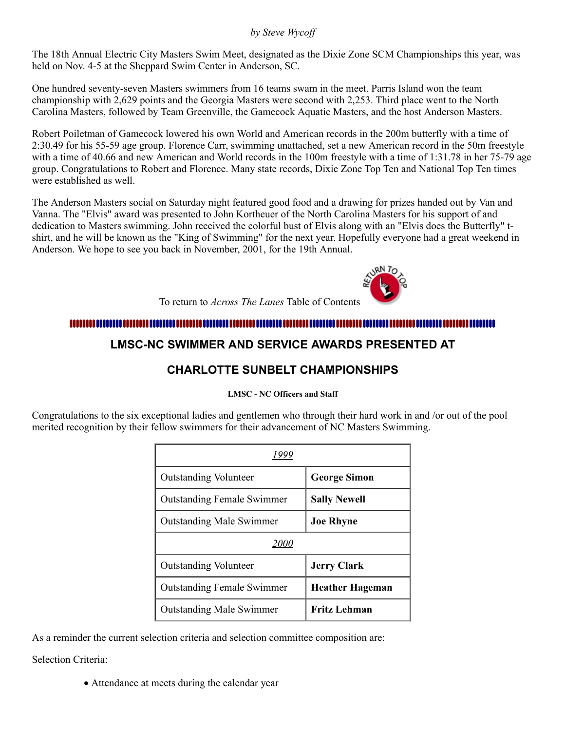## *by Steve Wycoff*

The 18th Annual Electric City Masters Swim Meet, designated as the Dixie Zone SCM Championships this year, was held on Nov. 4-5 at the Sheppard Swim Center in Anderson, SC.

One hundred seventy-seven Masters swimmers from 16 teams swam in the meet. Parris Island won the team championship with 2,629 points and the Georgia Masters were second with 2,253. Third place went to the North Carolina Masters, followed by Team Greenville, the Gamecock Aquatic Masters, and the host Anderson Masters.

Robert Poiletman of Gamecock lowered his own World and American records in the 200m butterfly with a time of 2:30.49 for his 55-59 age group. Florence Carr, swimming unattached, set a new American record in the 50m freestyle with a time of 40.66 and new American and World records in the 100m freestyle with a time of 1:31.78 in her 75-79 age group. Congratulations to Robert and Florence. Many state records, Dixie Zone Top Ten and National Top Ten times were established as well.

The Anderson Masters social on Saturday night featured good food and a drawing for prizes handed out by Van and Vanna. The "Elvis" award was presented to John Kortheuer of the North Carolina Masters for his support of and dedication to Masters swimming. John received the colorful bust of Elvis along with an "Elvis does the Butterfly" tshirt, and he will be known as the "King of Swimming" for the next year. Hopefully everyone had a great weekend in Anderson. We hope to see you back in November, 2001, for the 19th Annual.



To return to *Across The Lanes* Table of Contents

# <span id="page-3-0"></span>

# **LMSC-NC SWIMMER AND SERVICE AWARDS PRESENTED AT**

# **CHARLOTTE SUNBELT CHAMPIONSHIPS**

### **LMSC - NC Officers and Staff**

Congratulations to the six exceptional ladies and gentlemen who through their hard work in and /or out of the pool merited recognition by their fellow swimmers for their advancement of NC Masters Swimming.

| <b>Outstanding Volunteer</b>      | <b>George Simon</b>    |  |  |  |  |  |  |
|-----------------------------------|------------------------|--|--|--|--|--|--|
| <b>Outstanding Female Swimmer</b> | <b>Sally Newell</b>    |  |  |  |  |  |  |
| <b>Outstanding Male Swimmer</b>   | <b>Joe Rhyne</b>       |  |  |  |  |  |  |
| <i>2000</i>                       |                        |  |  |  |  |  |  |
| <b>Outstanding Volunteer</b>      | <b>Jerry Clark</b>     |  |  |  |  |  |  |
| <b>Outstanding Female Swimmer</b> | <b>Heather Hageman</b> |  |  |  |  |  |  |
| <b>Outstanding Male Swimmer</b>   | <b>Fritz Lehman</b>    |  |  |  |  |  |  |

As a reminder the current selection criteria and selection committee composition are:

# Selection Criteria:

· Attendance at meets during the calendar year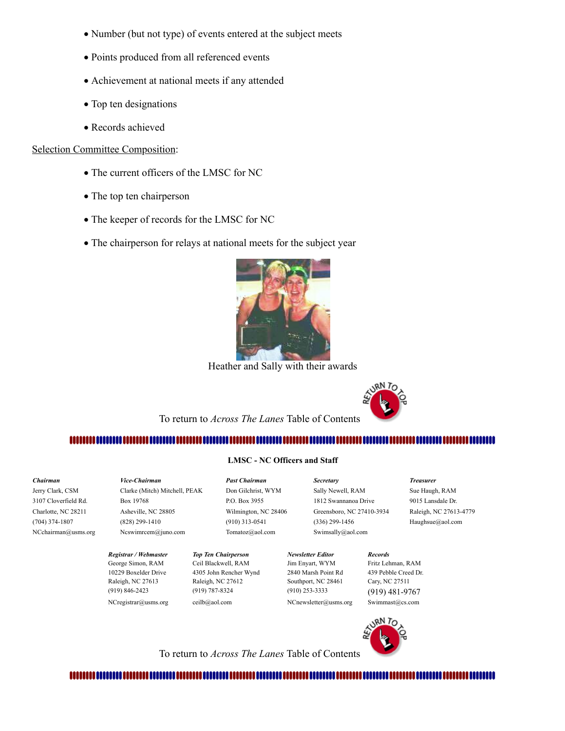- · Number (but not type) of events entered at the subject meets
- · Points produced from all referenced events
- · Achievement at national meets if any attended
- Top ten designations
- · Records achieved

#### Selection Committee Composition:

- · The current officers of the LMSC for NC
- The top ten chairperson
- · The keeper of records for the LMSC for NC
- · The chairperson for relays at national meets for the subject year



Heather and Sally with their awards



To return to *Across The Lanes* Table of Contents

### 

# **LMSC - NC Officers and Staff**

<span id="page-4-0"></span>*Chairman Vice-Chairman Past Chairman Secretary Treasurer* Jerry Clark, CSM Clarke (Mitch) Mitchell, PEAK Don Gilchrist, WYM Sally Newell, RAM Sue Haugh, RAM 3107 Cloverfield Rd. Box 19768 P.O. Box 3955 1812 Swannanoa Drive 9015 Lansdale Dr. Charlotte, NC 28211 Asheville, NC 28805 Wilmington, NC 28406 Greensboro, NC 27410-3934 Raleigh, NC 27613-4779 (704) 374-1807 (828) 299-1410 (910) 313-0541 (336) 299-1456 Haughsue@aol.com NCchairman@usms.org Ncswimrcem@juno.com Tomatoz@aol.com Swimsally@aol.com

> *Registrar / Webmaster Top Ten Chairperson Newsletter Editor Records* George Simon, RAM Ceil Blackwell, RAM Jim Enyart, WYM Fritz Lehman, RAM 10229 Boxelder Drive 4305 John Rencher Wynd 2840 Marsh Point Rd 439 Pebble Creed Dr. Raleigh, NC 27613 Raleigh, NC 27612 Southport, NC 28461 Cary, NC 27511 (919) 846-2423 (919) 787-8324 (910) 253-3333 (919) 481-9767 NCregistrar@usms.org ceilb@aol.com NCnewsletter@usms.org Swimmast@cs.com



To return to *Across The Lanes* Table of Contents

### <span id="page-4-1"></span>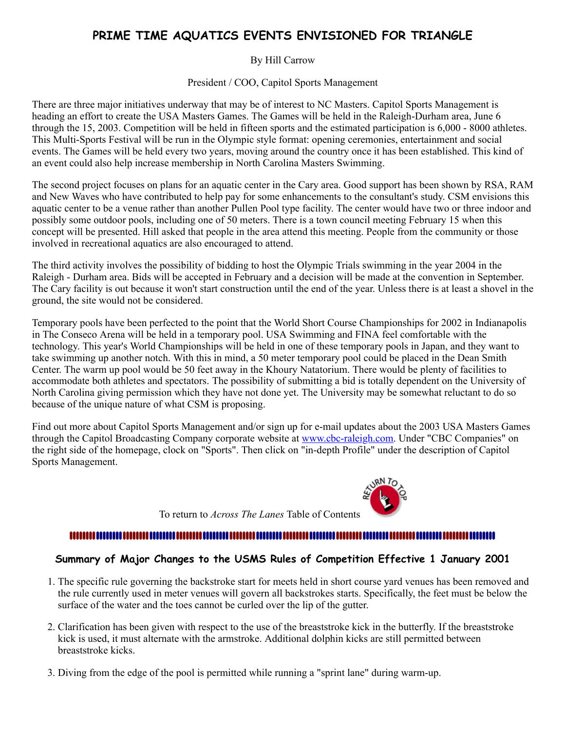# **PRIME TIME AQUATICS EVENTS ENVISIONED FOR TRIANGLE**

### By Hill Carrow

President / COO, Capitol Sports Management

There are three major initiatives underway that may be of interest to NC Masters. Capitol Sports Management is heading an effort to create the USA Masters Games. The Games will be held in the Raleigh-Durham area, June 6 through the 15, 2003. Competition will be held in fifteen sports and the estimated participation is 6,000 - 8000 athletes. This Multi-Sports Festival will be run in the Olympic style format: opening ceremonies, entertainment and social events. The Games will be held every two years, moving around the country once it has been established. This kind of an event could also help increase membership in North Carolina Masters Swimming.

The second project focuses on plans for an aquatic center in the Cary area. Good support has been shown by RSA, RAM and New Waves who have contributed to help pay for some enhancements to the consultant's study. CSM envisions this aquatic center to be a venue rather than another Pullen Pool type facility. The center would have two or three indoor and possibly some outdoor pools, including one of 50 meters. There is a town council meeting February 15 when this concept will be presented. Hill asked that people in the area attend this meeting. People from the community or those involved in recreational aquatics are also encouraged to attend.

The third activity involves the possibility of bidding to host the Olympic Trials swimming in the year 2004 in the Raleigh - Durham area. Bids will be accepted in February and a decision will be made at the convention in September. The Cary facility is out because it won't start construction until the end of the year. Unless there is at least a shovel in the ground, the site would not be considered.

Temporary pools have been perfected to the point that the World Short Course Championships for 2002 in Indianapolis in The Conseco Arena will be held in a temporary pool. USA Swimming and FINA feel comfortable with the technology. This year's World Championships will be held in one of these temporary pools in Japan, and they want to take swimming up another notch. With this in mind, a 50 meter temporary pool could be placed in the Dean Smith Center. The warm up pool would be 50 feet away in the Khoury Natatorium. There would be plenty of facilities to accommodate both athletes and spectators. The possibility of submitting a bid is totally dependent on the University of North Carolina giving permission which they have not done yet. The University may be somewhat reluctant to do so because of the unique nature of what CSM is proposing.

Find out more about Capitol Sports Management and/or sign up for e-mail updates about the 2003 USA Masters Games through the Capitol Broadcasting Company corporate website at [www.cbc-raleigh.com](http://www.cbc-raleigh.com/). Under "CBC Companies" on the right side of the homepage, clock on "Sports". Then click on "in-depth Profile" under the description of Capitol Sports Management.



To return to *Across The Lanes* Table of Contents

# 

# <span id="page-5-0"></span>**Summary of Major Changes to the USMS Rules of Competition Effective 1 January 2001**

- 1. The specific rule governing the backstroke start for meets held in short course yard venues has been removed and the rule currently used in meter venues will govern all backstrokes starts. Specifically, the feet must be below the surface of the water and the toes cannot be curled over the lip of the gutter.
- 2. Clarification has been given with respect to the use of the breaststroke kick in the butterfly. If the breaststroke kick is used, it must alternate with the armstroke. Additional dolphin kicks are still permitted between breaststroke kicks.
- 3. Diving from the edge of the pool is permitted while running a "sprint lane" during warm-up.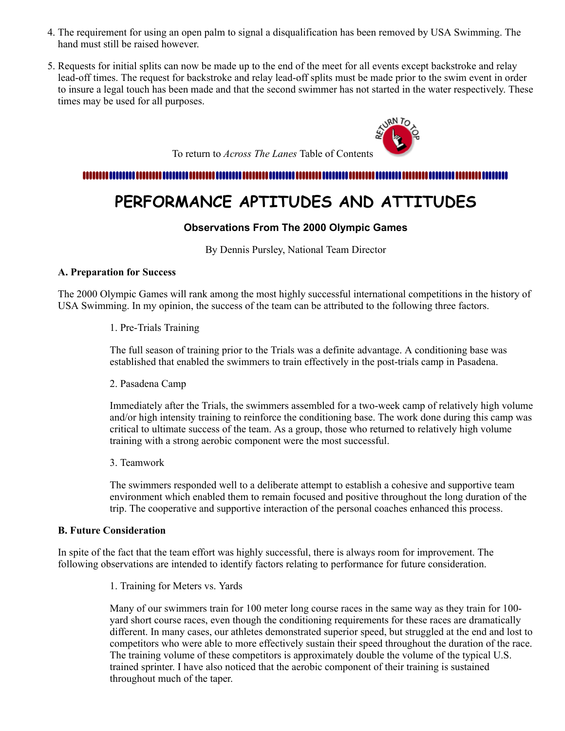- 4. The requirement for using an open palm to signal a disqualification has been removed by USA Swimming. The hand must still be raised however.
- 5. Requests for initial splits can now be made up to the end of the meet for all events except backstroke and relay lead-off times. The request for backstroke and relay lead-off splits must be made prior to the swim event in order to insure a legal touch has been made and that the second swimmer has not started in the water respectively. These times may be used for all purposes.



# <span id="page-6-0"></span>

# **PERFORMANCE APTITUDES AND ATTITUDES**

# **Observations From The 2000 Olympic Games**

By Dennis Pursley, National Team Director

#### **A. Preparation for Success**

The 2000 Olympic Games will rank among the most highly successful international competitions in the history of USA Swimming. In my opinion, the success of the team can be attributed to the following three factors.

1. Pre-Trials Training

The full season of training prior to the Trials was a definite advantage. A conditioning base was established that enabled the swimmers to train effectively in the post-trials camp in Pasadena.

2. Pasadena Camp

Immediately after the Trials, the swimmers assembled for a two-week camp of relatively high volume and/or high intensity training to reinforce the conditioning base. The work done during this camp was critical to ultimate success of the team. As a group, those who returned to relatively high volume training with a strong aerobic component were the most successful.

3. Teamwork

The swimmers responded well to a deliberate attempt to establish a cohesive and supportive team environment which enabled them to remain focused and positive throughout the long duration of the trip. The cooperative and supportive interaction of the personal coaches enhanced this process.

### **B. Future Consideration**

In spite of the fact that the team effort was highly successful, there is always room for improvement. The following observations are intended to identify factors relating to performance for future consideration.

1. Training for Meters vs. Yards

Many of our swimmers train for 100 meter long course races in the same way as they train for 100 yard short course races, even though the conditioning requirements for these races are dramatically different. In many cases, our athletes demonstrated superior speed, but struggled at the end and lost to competitors who were able to more effectively sustain their speed throughout the duration of the race. The training volume of these competitors is approximately double the volume of the typical U.S. trained sprinter. I have also noticed that the aerobic component of their training is sustained throughout much of the taper.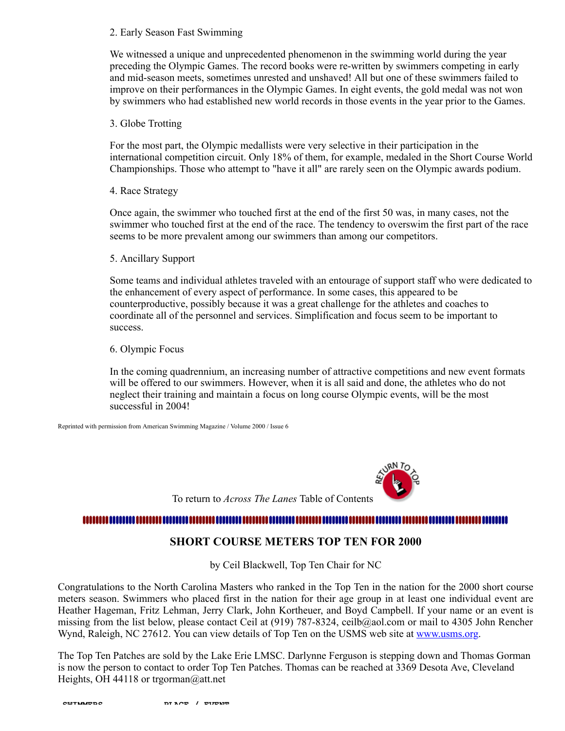#### 2. Early Season Fast Swimming

We witnessed a unique and unprecedented phenomenon in the swimming world during the year preceding the Olympic Games. The record books were re-written by swimmers competing in early and mid-season meets, sometimes unrested and unshaved! All but one of these swimmers failed to improve on their performances in the Olympic Games. In eight events, the gold medal was not won by swimmers who had established new world records in those events in the year prior to the Games.

#### 3. Globe Trotting

For the most part, the Olympic medallists were very selective in their participation in the international competition circuit. Only 18% of them, for example, medaled in the Short Course World Championships. Those who attempt to "have it all" are rarely seen on the Olympic awards podium.

#### 4. Race Strategy

Once again, the swimmer who touched first at the end of the first 50 was, in many cases, not the swimmer who touched first at the end of the race. The tendency to overswim the first part of the race seems to be more prevalent among our swimmers than among our competitors.

#### 5. Ancillary Support

Some teams and individual athletes traveled with an entourage of support staff who were dedicated to the enhancement of every aspect of performance. In some cases, this appeared to be counterproductive, possibly because it was a great challenge for the athletes and coaches to coordinate all of the personnel and services. Simplification and focus seem to be important to success.

#### 6. Olympic Focus

In the coming quadrennium, an increasing number of attractive competitions and new event formats will be offered to our swimmers. However, when it is all said and done, the athletes who do not neglect their training and maintain a focus on long course Olympic events, will be the most successful in 2004!

Reprinted with permission from American Swimming Magazine / Volume 2000 / Issue 6



To return to *Across The Lanes* Table of Contents

#### <span id="page-7-0"></span>,,,,,,,,,,,,,,,,,,,,,,,,,,,,,,

# **SHORT COURSE METERS TOP TEN FOR 2000**

by Ceil Blackwell, Top Ten Chair for NC

Congratulations to the North Carolina Masters who ranked in the Top Ten in the nation for the 2000 short course meters season. Swimmers who placed first in the nation for their age group in at least one individual event are Heather Hageman, Fritz Lehman, Jerry Clark, John Kortheuer, and Boyd Campbell. If your name or an event is missing from the list below, please contact Ceil at (919) 787-8324, ceilb@aol.com or mail to 4305 John Rencher Wynd, Raleigh, NC 27612. You can view details of Top Ten on the USMS web site at [www.usms.org.](http://www.usms.org/)

The Top Ten Patches are sold by the Lake Erie LMSC. Darlynne Ferguson is stepping down and Thomas Gorman is now the person to contact to order Top Ten Patches. Thomas can be reached at 3369 Desota Ave, Cleveland Heights, OH 44118 or trgorman@att.net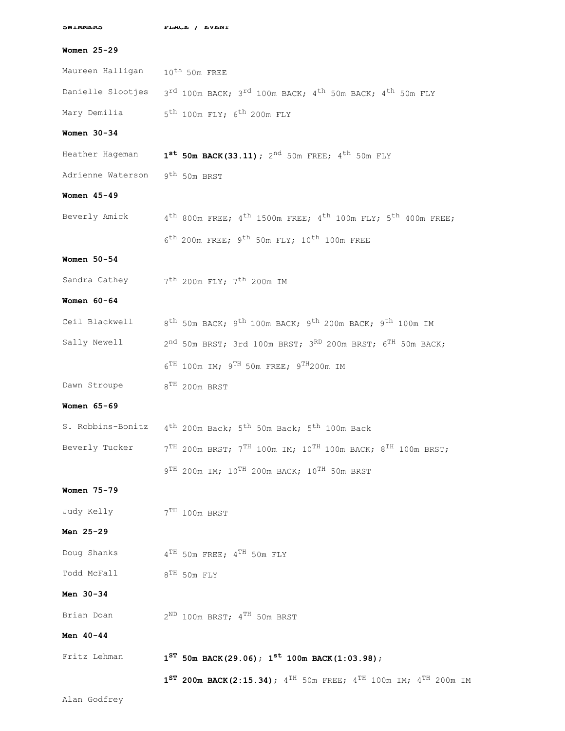| <b><i>OMTIMITER</i></b>                    | LTWCF \ FAFMI                                                                                                          |  |  |  |  |  |
|--------------------------------------------|------------------------------------------------------------------------------------------------------------------------|--|--|--|--|--|
| Women 25-29                                |                                                                                                                        |  |  |  |  |  |
| Maureen Halligan 10 <sup>th</sup> 50m FREE |                                                                                                                        |  |  |  |  |  |
| Danielle Slootjes                          | $3^{rd}$ 100m BACK; $3^{rd}$ 100m BACK; $4^{th}$ 50m BACK; $4^{th}$ 50m FLY                                            |  |  |  |  |  |
|                                            | Mary Demilia 5th 100m FLY; 6 <sup>th</sup> 200m FLY                                                                    |  |  |  |  |  |
| Women $30-34$                              |                                                                                                                        |  |  |  |  |  |
| Heather Hageman                            | $1^{st}$ 50m BACK (33.11); 2 <sup>nd</sup> 50m FREE; 4 <sup>th</sup> 50m FLY                                           |  |  |  |  |  |
| Adrienne Waterson 9th 50m BRST             |                                                                                                                        |  |  |  |  |  |
| Women 45-49                                |                                                                                                                        |  |  |  |  |  |
|                                            | Beverly Amick $4^{th}$ 800m FREE; $4^{th}$ 1500m FREE; $4^{th}$ 100m FLY; $5^{th}$ 400m FREE;                          |  |  |  |  |  |
|                                            | $6^{\text{th}}$ 200m FREE; $9^{\text{th}}$ 50m FLY; 10 <sup>th</sup> 100m FREE                                         |  |  |  |  |  |
| Women 50-54                                |                                                                                                                        |  |  |  |  |  |
|                                            | Sandra Cathey 7th 200m FLY; 7th 200m IM                                                                                |  |  |  |  |  |
| Women $60-64$                              |                                                                                                                        |  |  |  |  |  |
|                                            | Ceil Blackwell 8 <sup>th</sup> 50m BACK; 9 <sup>th</sup> 100m BACK; 9 <sup>th</sup> 200m BACK; 9 <sup>th</sup> 100m IM |  |  |  |  |  |
| Sally Newell                               | $2^{nd}$ 50m BRST; 3rd 100m BRST; 3 <sup>RD</sup> 200m BRST; 6 <sup>TH</sup> 50m BACK;                                 |  |  |  |  |  |
|                                            | $6^{TH}$ 100m IM; $9^{TH}$ 50m FREE; $9^{TH}$ 200m IM                                                                  |  |  |  |  |  |
| Dawn Stroupe                               | $8^{\mathrm{TH}}$ 200m BRST                                                                                            |  |  |  |  |  |
| Women 65-69                                |                                                                                                                        |  |  |  |  |  |
|                                            | S. Robbins-Bonitz 4 <sup>th</sup> 200m Back; 5 <sup>th</sup> 50m Back; 5 <sup>th</sup> 100m Back                       |  |  |  |  |  |
|                                            | Beverly Tucker $7^{TH}$ 200m BRST; $7^{TH}$ 100m IM; $10^{TH}$ 100m BACK; $8^{TH}$ 100m BRST;                          |  |  |  |  |  |
|                                            | 9 <sup>TH</sup> 200m IM; 10 <sup>TH</sup> 200m BACK; 10 <sup>TH</sup> 50m BRST                                         |  |  |  |  |  |
| Women 75-79                                |                                                                                                                        |  |  |  |  |  |
| Judy Kelly 7TH 100m BRST                   |                                                                                                                        |  |  |  |  |  |
| Men 25-29                                  |                                                                                                                        |  |  |  |  |  |
| Doug Shanks                                | $4^{\mathrm{TH}}$ 50m FREE; $4^{\mathrm{TH}}$ 50m FLY                                                                  |  |  |  |  |  |
| Todd McFall                                | $8^{\mathrm{TH}}$ 50m FLY                                                                                              |  |  |  |  |  |
| Men 30-34                                  |                                                                                                                        |  |  |  |  |  |
| Brian Doan                                 | $2^{\text{ND}}$ 100m BRST; $4^{\text{TH}}$ 50m BRST                                                                    |  |  |  |  |  |
| Men 40-44                                  |                                                                                                                        |  |  |  |  |  |
| Fritz Lehman                               | $1^{ST}$ 50m BACK(29.06); $1^{st}$ 100m BACK(1:03.98);                                                                 |  |  |  |  |  |
|                                            | 1 <sup>ST</sup> 200m BACK(2:15.34); $4^{TH}$ 50m FREE; $4^{TH}$ 100m IM; $4^{TH}$ 200m IM                              |  |  |  |  |  |
| Alan Godfrey                               |                                                                                                                        |  |  |  |  |  |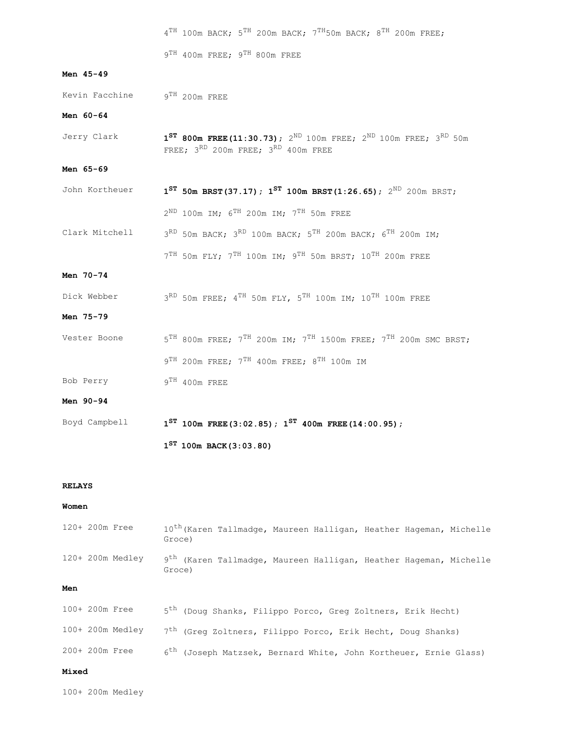|                              | $4^{TH}$ 100m BACK; $5^{TH}$ 200m BACK; $7^{TH}50$ m BACK; $8^{TH}$ 200m FREE;                                                            |  |  |  |  |
|------------------------------|-------------------------------------------------------------------------------------------------------------------------------------------|--|--|--|--|
|                              | $9^{TH}$ 400m FREE; $9^{TH}$ 800m FREE                                                                                                    |  |  |  |  |
| Men 45-49                    |                                                                                                                                           |  |  |  |  |
| Kevin Facchine 9TH 200m FREE |                                                                                                                                           |  |  |  |  |
| Men 60-64                    |                                                                                                                                           |  |  |  |  |
| Jerry Clark                  | 1 <sup>ST</sup> 800m FREE(11:30.73); $2^{ND}$ 100m FREE; $2^{ND}$ 100m FREE; $3^{RD}$ 50m<br>FREE; $3^{RD}$ 200m FREE; $3^{RD}$ 400m FREE |  |  |  |  |
| Men 65-69                    |                                                                                                                                           |  |  |  |  |
| John Kortheuer               | $1^{ST}$ 50m BRST(37.17); $1^{ST}$ 100m BRST(1:26.65); $2^{ND}$ 200m BRST;                                                                |  |  |  |  |
|                              | $2^{\text{ND}}$ 100m IM; $6^{\text{TH}}$ 200m IM; $7^{\text{TH}}$ 50m FREE                                                                |  |  |  |  |
| Clark Mitchell               | 3RD 50m BACK; 3RD 100m BACK; 5TH 200m BACK; 6TH 200m IM;                                                                                  |  |  |  |  |
|                              | $7TH$ 50m FLY; $7TH$ 100m IM; $9TH$ 50m BRST; 10 <sup>TH</sup> 200m FREE                                                                  |  |  |  |  |
| Men 70-74                    |                                                                                                                                           |  |  |  |  |
| Dick Webber                  | 3RD 50m FREE; 4 <sup>TH</sup> 50m FLY, 5 <sup>TH</sup> 100m IM; 10 <sup>TH</sup> 100m FREE                                                |  |  |  |  |
| Men 75-79                    |                                                                                                                                           |  |  |  |  |
| Vester Boone                 | $5^{TH}$ 800m FREE; $7^{TH}$ 200m IM; $7^{TH}$ 1500m FREE; $7^{TH}$ 200m SMC BRST;                                                        |  |  |  |  |
|                              | $9^{TH}$ 200m FREE; $7^{TH}$ 400m FREE; $8^{TH}$ 100m IM                                                                                  |  |  |  |  |
| Bob Perry                    | $9^{TH}$ 400m FREE                                                                                                                        |  |  |  |  |
| Men 90-94                    |                                                                                                                                           |  |  |  |  |
| Boyd Campbell                | $1^{ST}$ 100m FREE (3:02.85); $1^{ST}$ 400m FREE (14:00.95);                                                                              |  |  |  |  |
|                              | $1^{ST}$ 100m BACK (3:03.80)                                                                                                              |  |  |  |  |

#### **RELAYS**

#### **Women**

|     | 120+ 200m Free    | 10 <sup>th</sup> (Karen Tallmadge, Maureen Halligan, Heather Hageman, Michelle<br>Groce) |
|-----|-------------------|------------------------------------------------------------------------------------------|
|     | $120+200m$ Medley | 9 <sup>th</sup> (Karen Tallmadge, Maureen Halligan, Heather Hageman, Michelle<br>Groce)  |
| Men |                   |                                                                                          |
|     | 100+ 200m Free    | 5 <sup>th</sup> (Doug Shanks, Filippo Porco, Greg Zoltners, Erik Hecht)                  |

|  | $100+200m$ Medley |  | 7 <sup>th</sup> (Greq Zoltners, Filippo Porco, Erik Hecht, Doug Shanks)      |  |  |  |  |
|--|-------------------|--|------------------------------------------------------------------------------|--|--|--|--|
|  | 200+ 200m Free    |  | 6 <sup>th</sup> (Joseph Matzsek, Bernard White, John Kortheuer, Ernie Glass) |  |  |  |  |

#### **Mixed**

100+ 200m Medley